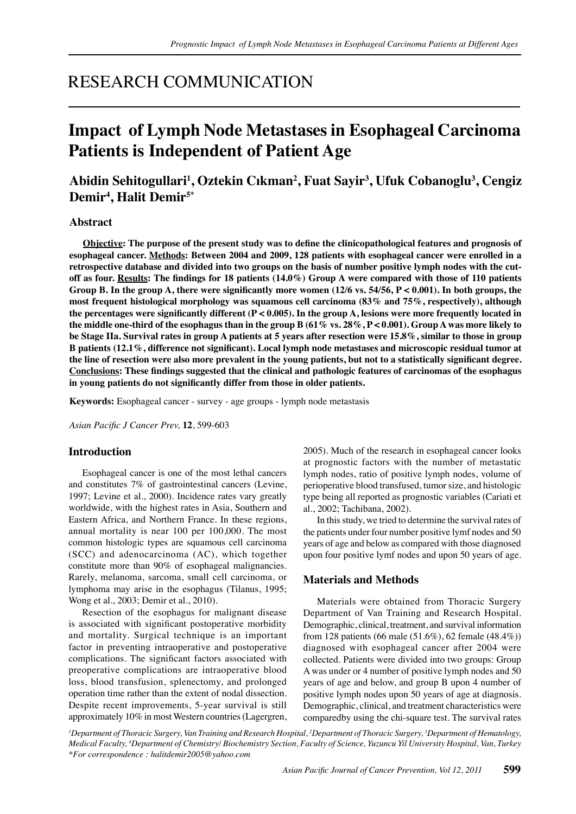## RESEARCH COMMUNICATION

# **Impact of Lymph Node Metastases in Esophageal Carcinoma Patients is Independent of Patient Age**

### **Abidin Sehitogullari<sup>1</sup> , Oztekin Cıkman<sup>2</sup> , Fuat Sayir<sup>3</sup> , Ufuk Cobanoglu3 , Cengiz Demir<sup>4</sup> , Halit Demir5\***

#### **Abstract**

**Objective: The purpose of the present study was to define the clinicopathological features and prognosis of esophageal cancer. Methods: Between 2004 and 2009, 128 patients with esophageal cancer were enrolled in a retrospective database and divided into two groups on the basis of number positive lymph nodes with the cutoff as four. Results: The findings for 18 patients (14.0%) Group A were compared with those of 110 patients Group B. In the group A, there were significantly more women (12/6 vs. 54/56, P < 0.001). In both groups, the most frequent histological morphology was squamous cell carcinoma (83% and 75%, respectively), although the percentages were significantly different (P < 0.005). In the group A, lesions were more frequently located in the middle one-third of the esophagus than in the group B (61% vs. 28%, P < 0.001). Group A was more likely to be Stage IIa. Survival rates in group A patients at 5 years after resection were 15.8%, similar to those in group B patients (12.1%, difference not significant). Local lymph node metastases and microscopic residual tumor at the line of resection were also more prevalent in the young patients, but not to a statistically significant degree. Conclusions: These findings suggested that the clinical and pathologic features of carcinomas of the esophagus in young patients do not significantly differ from those in older patients.**

**Keywords:** Esophageal cancer - survey - age groups - lymph node metastasis

*Asian Pacific J Cancer Prev,* **12**, 599-603

#### **Introduction**

Esophageal cancer is one of the most lethal cancers and constitutes 7% of gastrointestinal cancers (Levine, 1997; Levine et al., 2000). Incidence rates vary greatly worldwide, with the highest rates in Asia, Southern and Eastern Africa, and Northern France. In these regions, annual mortality is near 100 per 100,000. The most common histologic types are squamous cell carcinoma (SCC) and adenocarcinoma (AC), which together constitute more than 90% of esophageal malignancies. Rarely, melanoma, sarcoma, small cell carcinoma, or lymphoma may arise in the esophagus (Tilanus, 1995; Wong et al., 2003; Demir et al., 2010).

Resection of the esophagus for malignant disease is associated with significant postoperative morbidity and mortality. Surgical technique is an important factor in preventing intraoperative and postoperative complications. The significant factors associated with preoperative complications are intraoperative blood loss, blood transfusion, splenectomy, and prolonged operation time rather than the extent of nodal dissection. Despite recent improvements, 5-year survival is still approximately 10% in most Western countries (Lagergren,

2005). Much of the research in esophageal cancer looks at prognostic factors with the number of metastatic lymph nodes, ratio of positive lymph nodes, volume of perioperative blood transfused, tumor size, and histologic type being all reported as prognostic variables (Cariati et al., 2002; Tachibana, 2002).

In this study, we tried to determine the survival rates of the patients under four number positive lymf nodes and 50 years of age and below as compared with those diagnosed upon four positive lymf nodes and upon 50 years of age.

#### **Materials and Methods**

Materials were obtained from Thoracic Surgery Department of Van Training and Research Hospital. Demographic, clinical, treatment, and survival information from 128 patients (66 male (51.6%), 62 female (48.4%)) diagnosed with esophageal cancer after 2004 were collected. Patients were divided into two groups: Group A was under or 4 number of positive lymph nodes and 50 years of age and below, and group B upon 4 number of positive lymph nodes upon 50 years of age at diagnosis. Demographic, clinical, and treatment characteristics were comparedby using the chi-square test. The survival rates

*1 Department of Thoracic Surgery, Van Training and Research Hospital, 2 Department of Thoracic Surgery, <sup>3</sup> Department of Hematology, Medical Faculty, <sup>4</sup> Department of Chemistry/ Biochemistry Section, Faculty of Science, Yuzuncu Yil University Hospital, Van, Turkey \*For correspondence : halitdemir2005@yahoo.com*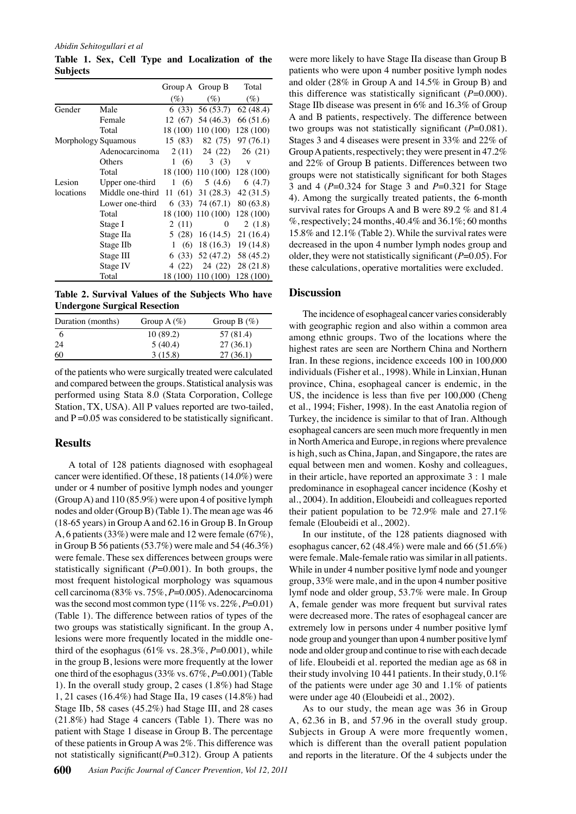*Abidin Sehitogullari et al*

**Table 1. Sex, Cell Type and Localization of the Subjects**

|                     |                  |          | Group A Group B                | Total               |
|---------------------|------------------|----------|--------------------------------|---------------------|
|                     |                  | (%)      | $(\%)$                         | $(\%)$              |
| Gender              | Male             |          | $(33)$ 56 (53.7)               | 62(48.4)            |
|                     | Female           |          | $12(67)$ 54 (46.3) 66 (51.6)   |                     |
|                     | Total            |          | 18 (100) 110 (100)             | 128 (100)           |
| Morphology Squamous |                  | 15 (83)  | 82 (75)                        | 97(76.1)            |
|                     | Adenocarcinoma   | 2(11)    | 24 (22)                        | 26(21)              |
|                     | Others           |          | $1(6)$ 3(3)                    | V                   |
|                     | Total            |          | 18 (100) 110 (100)             | 128 (100)           |
| Lesion              | Upper one-third  | 1(6)     | 5(4.6)                         | 6(4.7)              |
| locations           | Middle one-third |          | $11(61)$ $31(28.3)$ $42(31.5)$ |                     |
|                     | Lower one-third  |          | $(33)$ 74 $(67.1)$ 80 $(63.8)$ |                     |
|                     | Total            |          | 18 (100) 110 (100) 128 (100)   |                     |
|                     | Stage I          | 2(11)    | $\Omega$                       | 2(1.8)              |
|                     | Stage IIa        | 5 (28)   | 16(14.5)                       | 21(16.4)            |
|                     | Stage IIb        | (6)<br>1 |                                | $18(16.3)$ 19(14.8) |
|                     | Stage III        |          | $(33)$ 52 (47.2)               | 58 (45.2)           |
|                     | Stage IV         | 4 (22)   | 24 (22)                        | 28(21.8)            |
|                     | Total            | 18 (100) | 110(100)                       | 128 (100)           |

**Table 2. Survival Values of the Subjects Who have Undergone Surgical Resection**

| Duration (months) | Group A $(\%)$ | Group B $(\%)$ |
|-------------------|----------------|----------------|
| 6                 | 10(89.2)       | 57 (81.4)      |
| 24                | 5(40.4)        | 27(36.1)       |
| 60                | 3(15.8)        | 27(36.1)       |

of the patients who were surgically treated were calculated and compared between the groups. Statistical analysis was performed using Stata 8.0 (Stata Corporation, College Station, TX, USA). All P values reported are two-tailed, and  $P = 0.05$  was considered to be statistically significant.

### **Results**

A total of 128 patients diagnosed with esophageal cancer were identified. Of these, 18 patients (14.0%) were under or 4 number of positive lymph nodes and younger (Group A) and 110 (85.9%) were upon 4 of positive lymph nodes and older (Group B) (Table 1). The mean age was 46 (18-65 years) in Group A and 62.16 in Group B. In Group A, 6 patients (33%) were male and 12 were female (67%), in Group B 56 patients (53.7%) were male and 54 (46.3%) were female. These sex differences between groups were statistically significant (*P*=0.001). In both groups, the most frequent histological morphology was squamous cell carcinoma (83% vs. 75%, *P*=0.005). Adenocarcinoma was the second most common type  $(11\% \text{ vs. } 22\%, P=0.01)$ (Table 1). The difference between ratios of types of the two groups was statistically significant. In the group A, lesions were more frequently located in the middle onethird of the esophagus (61% vs.  $28.3\%$ ,  $P=0.001$ ), while in the group B, lesions were more frequently at the lower one third of the esophagus (33% vs. 67%, *P*=0.001) (Table 1). In the overall study group, 2 cases (1.8%) had Stage 1, 21 cases (16.4%) had Stage IIa, 19 cases (14.8%) had Stage IIb, 58 cases (45.2%) had Stage III, and 28 cases (21.8%) had Stage 4 cancers (Table 1). There was no patient with Stage 1 disease in Group B. The percentage of these patients in Group A was 2%. This difference was not statistically significant(*P*=0.312). Group A patients

were more likely to have Stage IIa disease than Group B patients who were upon 4 number positive lymph nodes and older (28% in Group A and 14.5% in Group B) and this difference was statistically significant  $(P=0.000)$ . Stage IIb disease was present in 6% and 16.3% of Group A and B patients, respectively. The difference between two groups was not statistically significant (*P*=0.081). Stages 3 and 4 diseases were present in 33% and 22% of Group A patients, respectively; they were present in 47.2% and 22% of Group B patients. Differences between two groups were not statistically significant for both Stages 3 and 4 (*P*=0.324 for Stage 3 and *P*=0.321 for Stage 4). Among the surgically treated patients, the 6-month survival rates for Groups A and B were 89.2 % and 81.4  $\%$ , respectively; 24 months, 40.4 $\%$  and 36.1 $\%$ ; 60 months 15.8% and 12.1% (Table 2). While the survival rates were decreased in the upon 4 number lymph nodes group and older, they were not statistically significant (*P*=0.05). For these calculations, operative mortalities were excluded.

#### **Discussion**

The incidence of esophageal cancer varies considerably with geographic region and also within a common area among ethnic groups. Two of the locations where the highest rates are seen are Northern China and Northern Iran. In these regions, incidence exceeds 100 in 100,000 individuals (Fisher et al., 1998). While in Linxian, Hunan province, China, esophageal cancer is endemic, in the US, the incidence is less than five per 100,000 (Cheng et al., 1994; Fisher, 1998). In the east Anatolia region of Turkey, the incidence is similar to that of Iran. Although esophageal cancers are seen much more frequently in men in North America and Europe, in regions where prevalence is high, such as China, Japan, and Singapore, the rates are equal between men and women. Koshy and colleagues, in their article, have reported an approximate 3 : 1 male predominance in esophageal cancer incidence (Koshy et al., 2004). In addition, Eloubeidi and colleagues reported their patient population to be 72.9% male and 27.1% female (Eloubeidi et al., 2002).

In our institute, of the 128 patients diagnosed with esophagus cancer, 62 (48.4%) were male and 66 (51.6%) were female. Male-female ratio was similar in all patients. While in under 4 number positive lymf node and younger group, 33% were male, and in the upon 4 number positive lymf node and older group, 53.7% were male. In Group A, female gender was more frequent but survival rates were decreased more. The rates of esophageal cancer are extremely low in persons under 4 number positive lymf node group and younger than upon 4 number positive lymf node and older group and continue to rise with each decade of life. Eloubeidi et al. reported the median age as 68 in their study involving 10 441 patients. In their study, 0.1% of the patients were under age 30 and 1.1% of patients were under age 40 (Eloubeidi et al., 2002).

As to our study, the mean age was 36 in Group A, 62.36 in B, and 57.96 in the overall study group. Subjects in Group A were more frequently women, which is different than the overall patient population and reports in the literature. Of the 4 subjects under the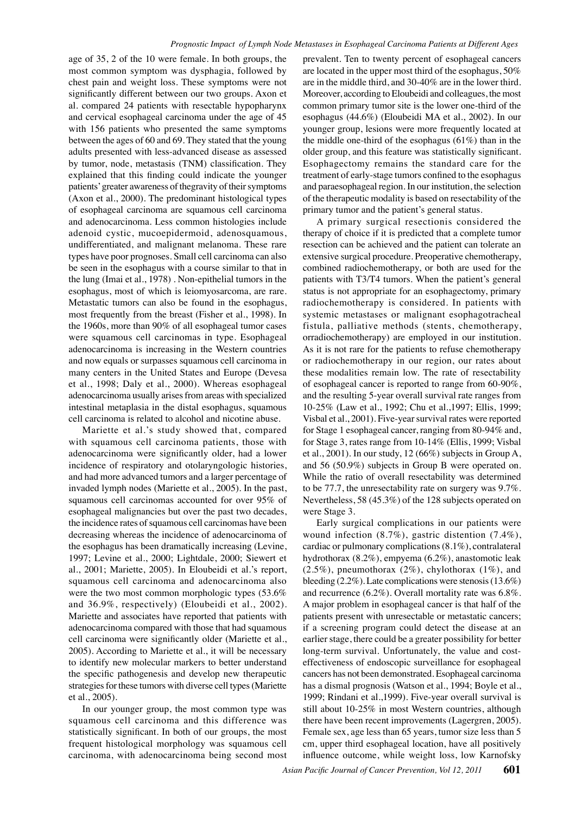age of 35, 2 of the 10 were female. In both groups, the most common symptom was dysphagia, followed by chest pain and weight loss. These symptoms were not significantly different between our two groups. Axon et al. compared 24 patients with resectable hypopharynx and cervical esophageal carcinoma under the age of 45 with 156 patients who presented the same symptoms between the ages of 60 and 69. They stated that the young adults presented with less-advanced disease as assessed by tumor, node, metastasis (TNM) classification. They explained that this finding could indicate the younger patients' greater awareness of thegravity of their symptoms (Axon et al., 2000). The predominant histological types of esophageal carcinoma are squamous cell carcinoma and adenocarcinoma. Less common histologies include adenoid cystic, mucoepidermoid, adenosquamous, undifferentiated, and malignant melanoma. These rare types have poor prognoses. Small cell carcinoma can also be seen in the esophagus with a course similar to that in the lung (Imai et al., 1978) . Non-epithelial tumors in the esophagus, most of which is leiomyosarcoma, are rare. Metastatic tumors can also be found in the esophagus, most frequently from the breast (Fisher et al., 1998). In the 1960s, more than 90% of all esophageal tumor cases were squamous cell carcinomas in type. Esophageal adenocarcinoma is increasing in the Western countries and now equals or surpasses squamous cell carcinoma in many centers in the United States and Europe (Devesa et al., 1998; Daly et al., 2000). Whereas esophageal adenocarcinoma usually arises from areas with specialized intestinal metaplasia in the distal esophagus, squamous cell carcinoma is related to alcohol and nicotine abuse.

Mariette et al.'s study showed that, compared with squamous cell carcinoma patients, those with adenocarcinoma were significantly older, had a lower incidence of respiratory and otolaryngologic histories, and had more advanced tumors and a larger percentage of invaded lymph nodes (Mariette et al., 2005). In the past, squamous cell carcinomas accounted for over 95% of esophageal malignancies but over the past two decades, the incidence rates of squamous cell carcinomas have been decreasing whereas the incidence of adenocarcinoma of the esophagus has been dramatically increasing (Levine, 1997; Levine et al., 2000; Lightdale, 2000; Siewert et al., 2001; Mariette, 2005). In Eloubeidi et al.'s report, squamous cell carcinoma and adenocarcinoma also were the two most common morphologic types (53.6% and 36.9%, respectively) (Eloubeidi et al., 2002). Mariette and associates have reported that patients with adenocarcinoma compared with those that had squamous cell carcinoma were significantly older (Mariette et al., 2005). According to Mariette et al., it will be necessary to identify new molecular markers to better understand the specific pathogenesis and develop new therapeutic strategies for these tumors with diverse cell types (Mariette et al., 2005).

In our younger group, the most common type was squamous cell carcinoma and this difference was statistically significant. In both of our groups, the most frequent histological morphology was squamous cell carcinoma, with adenocarcinoma being second most

prevalent. Ten to twenty percent of esophageal cancers are located in the upper most third of the esophagus, 50% are in the middle third, and 30-40% are in the lower third. Moreover, according to Eloubeidi and colleagues, the most common primary tumor site is the lower one-third of the esophagus (44.6%) (Eloubeidi MA et al., 2002). In our younger group, lesions were more frequently located at the middle one-third of the esophagus  $(61\%)$  than in the older group, and this feature was statistically significant. Esophagectomy remains the standard care for the treatment of early-stage tumors confined to the esophagus and paraesophageal region. In our institution, the selection of the therapeutic modality is based on resectability of the primary tumor and the patient's general status.

0 10-25% (Law et al., 1992; Chu et al., 1997; Ellis, 1999; 25.0 these modalities remain low. The rate of resectability 50.0 75.0 status is not appropriate for an esophagectomy, primary100.0 A primary surgical resectionis considered the therapy of choice if it is predicted that a complete tumor resection can be achieved and the patient can tolerate an extensive surgical procedure. Preoperative chemotherapy, combined radiochemotherapy, or both are used for the patients with T3/T4 tumors. When the patient's general radiochemotherapy is considered. In patients with systemic metastases or malignant esophagotracheal fistula, palliative methods (stents, chemotherapy, orradiochemotherapy) are employed in our institution. As it is not rare for the patients to refuse chemotherapy or radiochemotherapy in our region, our rates about of esophageal cancer is reported to range from 60-90%, and the resulting 5-year overall survival rate ranges from Visbal et al., 2001). Five-year survival rates were reported for Stage 1 esophageal cancer, ranging from 80-94% and, for Stage 3, rates range from 10-14% (Ellis, 1999; Visbal et al., 2001). In our study, 12 (66%) subjects in Group A, and 56 (50.9%) subjects in Group B were operated on. While the ratio of overall resectability was determined to be 77.7, the unresectability rate on surgery was 9.7%. Nevertheless, 58 (45.3%) of the 128 subjects operated on were Stage 3.

Early surgical complications in our patients were wound infection (8.7%), gastric distention (7.4%), cardiac or pulmonary complications (8.1%), contralateral hydrothorax (8.2%), empyema (6.2%), anastomotic leak  $(2.5\%)$ , pneumothorax  $(2\%)$ , chylothorax  $(1\%)$ , and bleeding (2.2%). Late complications were stenosis (13.6%) and recurrence (6.2%). Overall mortality rate was 6.8%. A major problem in esophageal cancer is that half of the patients present with unresectable or metastatic cancers; if a screening program could detect the disease at an earlier stage, there could be a greater possibility for better long-term survival. Unfortunately, the value and costeffectiveness of endoscopic surveillance for esophageal cancers has not been demonstrated. Esophageal carcinoma has a dismal prognosis (Watson et al., 1994; Boyle et al., 1999; Rindani et al.,1999). Five-year overall survival is still about 10-25% in most Western countries, although there have been recent improvements (Lagergren, 2005). Female sex, age less than 65 years, tumor size less than 5 cm, upper third esophageal location, have all positively influence outcome, while weight loss, low Karnofsky

**20.3 6.3 10.1**

**46.8 56.3**

**38.0 31.3**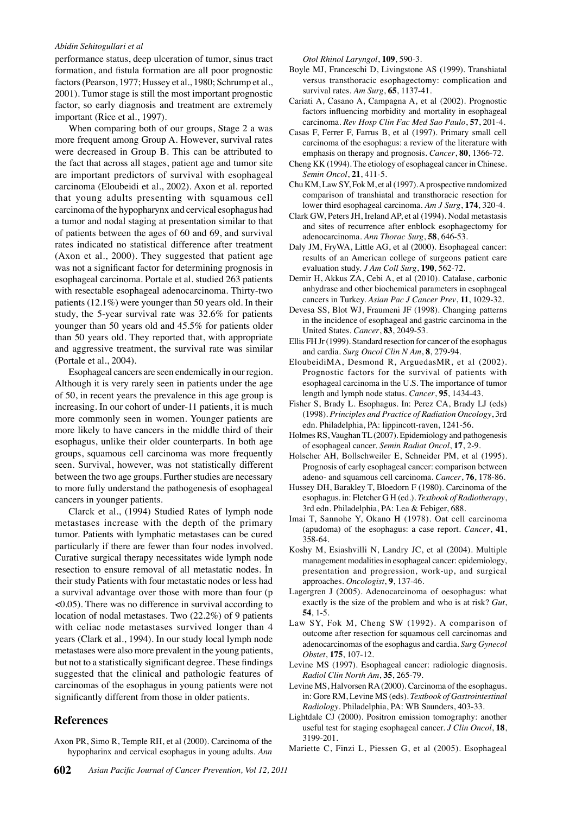#### *Abidin Sehitogullari et al*

performance status, deep ulceration of tumor, sinus tract formation, and fistula formation are all poor prognostic factors (Pearson, 1977; Hussey et al., 1980; Schrump et al., 2001). Tumor stage is still the most important prognostic factor, so early diagnosis and treatment are extremely important (Rice et al., 1997).

When comparing both of our groups, Stage 2 a was more frequent among Group A. However, survival rates were decreased in Group B. This can be attributed to the fact that across all stages, patient age and tumor site are important predictors of survival with esophageal carcinoma (Eloubeidi et al., 2002). Axon et al. reported that young adults presenting with squamous cell carcinoma of the hypopharynx and cervical esophagus had a tumor and nodal staging at presentation similar to that of patients between the ages of 60 and 69, and survival rates indicated no statistical difference after treatment (Axon et al., 2000). They suggested that patient age was not a significant factor for determining prognosis in esophageal carcinoma. Portale et al. studied 263 patients with resectable esophageal adenocarcinoma. Thirty-two patients (12.1%) were younger than 50 years old. In their study, the 5-year survival rate was 32.6% for patients younger than 50 years old and 45.5% for patients older than 50 years old. They reported that, with appropriate and aggressive treatment, the survival rate was similar (Portale et al., 2004).

Esophageal cancers are seen endemically in our region. Although it is very rarely seen in patients under the age of 50, in recent years the prevalence in this age group is increasing. In our cohort of under-11 patients, it is much more commonly seen in women. Younger patients are more likely to have cancers in the middle third of their esophagus, unlike their older counterparts. In both age groups, squamous cell carcinoma was more frequently seen. Survival, however, was not statistically different between the two age groups. Further studies are necessary to more fully understand the pathogenesis of esophageal cancers in younger patients.

Clarck et al., (1994) Studied Rates of lymph node metastases increase with the depth of the primary tumor. Patients with lymphatic metastases can be cured particularly if there are fewer than four nodes involved. Curative surgical therapy necessitates wide lymph node resection to ensure removal of all metastatic nodes. İn their study Patients with four metastatic nodes or less had a survival advantage over those with more than four (p <0.05). There was no difference in survival according to location of nodal metastases. Two (22.2%) of 9 patients with celiac node metastases survived longer than 4 years (Clark et al., 1994). In our study local lymph node metastases were also more prevalent in the young patients, but not to a statistically significant degree. These findings suggested that the clinical and pathologic features of carcinomas of the esophagus in young patients were not significantly different from those in older patients.

#### **References**

Axon PR, Simo R, Temple RH, et al (2000). Carcinoma of the hypopharinx and cervical esophagus in young adults. *Ann*  *Otol Rhinol Laryngol*, **109**, 590-3.

- Boyle MJ, Franceschi D, Livingstone AS (1999). Transhiatal versus transthoracic esophagectomy: complication and survival rates. *Am Surg*, **65**, 1137-41.
- Cariati A, Casano A, Campagna A, et al (2002). Prognostic factors influencing morbidity and mortality in esophageal carcinoma. *Rev Hosp Clin Fac Med Sao Paulo*, **57**, 201-4.
- Casas F, Ferrer F, Farrus B, et al (1997). Primary small cell carcinoma of the esophagus: a review of the literature with emphasis on therapy and prognosis. *Cancer*, **80**, 1366-72.
- Cheng KK (1994). The etiology of esophageal cancer in Chinese. *Semin Oncol*, **21**, 411-5.
- Chu KM, Law SY, Fok M, et al (1997). A prospective randomized comparison of transhiatal and transthoracic resection for lower third esophageal carcinoma. *Am J Surg*, **174**, 320-4.
- Clark GW, Peters JH, Ireland AP, et al (1994). Nodal metastasis and sites of recurrence after enblock esophagectomy for adenocarcinoma. *Ann Thorac Surg*, **58**, 646-53.
- Daly JM, FryWA, Little AG, et al (2000). Esophageal cancer: results of an American college of surgeons patient care evaluation study. *J Am Coll Surg*, **190**, 562-72.
- Demir H, Akkus ZA, Cebi A, et al (2010). Catalase, carbonic anhydrase and other biochemical parameters in esophageal cancers in Turkey. *Asian Pac J Cancer Prev*, **11**, 1029-32.
- Devesa SS, Blot WJ, Fraumeni JF (1998). Changing patterns in the incidence of esophageal and gastric carcinoma in the United States. *Cancer*, **83**, 2049-53.
- Ellis FH Jr (1999). Standard resection for cancer of the esophagus and cardia. *Surg Oncol Clin N Am*, **8**, 279-94.
- EloubeidiMA, Desmond R, ArguedasMR, et al (2002). Prognostic factors for the survival of patients with esophageal carcinoma in the U.S. The importance of tumor length and lymph node status. *Cancer*, **95**, 1434-43.
- Fisher S, Brady L. Esophagus. In: Perez CA, Brady LJ (eds) (1998). *Principles and Practice of Radiation Oncology*, 3rd edn. Philadelphia, PA: lippincott-raven, 1241-56.
- Holmes RS, Vaughan TL (2007). Epidemiology and pathogenesis of esophageal cancer. *Semin Radiat Oncol*, **17**, 2-9.
- Holscher AH, Bollschweiler E, Schneider PM, et al (1995). Prognosis of early esophageal cancer: comparison between adeno- and squamous cell carcinoma. *Cancer*, **76**, 178-86.
- Hussey DH, Barakley T, Bloedorn F (1980). Carcinoma of the esophagus. in: Fletcher G H (ed.). *Textbook of Radiotherapy*, 3rd edn. Philadelphia, PA: Lea & Febiger, 688.
- Imai T, Sannohe Y, Okano H (1978). Oat cell carcinoma (apudoma) of the esophagus: a case report. *Cancer*, **41**, 358-64.
- Koshy M, Esiashvilli N, Landry JC, et al (2004). Multiple management modalities in esophageal cancer: epidemiology, presentation and progression, work-up, and surgical approaches. *Oncologist*, **9**, 137-46.
- Lagergren J (2005). Adenocarcinoma of oesophagus: what exactly is the size of the problem and who is at risk? *Gut*, **54**, 1-5.
- Law SY, Fok M, Cheng SW (1992). A comparison of outcome after resection for squamous cell carcinomas and adenocarcinomas of the esophagus and cardia. *Surg Gynecol Obstet*, **175**, 107-12.
- Levine MS (1997). Esophageal cancer: radiologic diagnosis. *Radiol Clin North Am*, **35**, 265-79.
- Levine MS, Halvorsen RA (2000). Carcinoma of the esophagus. in: Gore RM, Levine MS (eds). *Textbook of Gastrointestinal Radiology*. Philadelphia, PA: WB Saunders, 403-33.
- Lightdale CJ (2000). Positron emission tomography: another useful test for staging esophageal cancer. *J Clin Oncol*, **18**, 3199-201.
- Mariette C, Finzi L, Piessen G, et al (2005). Esophageal